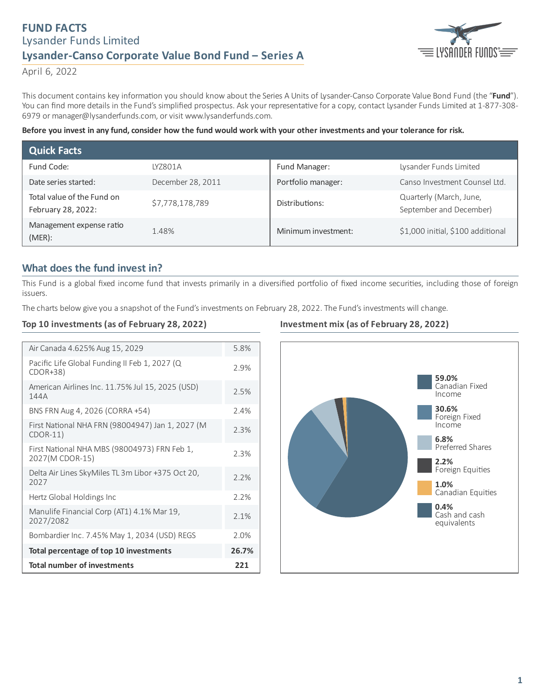# **FUND FACTS** Lysander Funds Limited **Lysander-Canso Corporate Value Bond Fund ‒ Series A**



April 6, 2022

This document contains key information you should know about the Series A Units of Lysander-Canso Corporate Value Bond Fund (the "Fund"). You can find more details in the Fund's simplified prospectus. Ask your representative for a copy, contact Lysander Funds Limited at 1-877-308-6979 or manager@lysanderfunds.com, or visit www.lysanderfunds.com.

#### Before you invest in any fund, consider how the fund would work with your other investments and your tolerance for risk.

| <b>Quick Facts</b>                               |                   |                     |                                                    |
|--------------------------------------------------|-------------------|---------------------|----------------------------------------------------|
| Fund Code:                                       | LYZ801A           | Fund Manager:       | Lysander Funds Limited                             |
| Date series started:                             | December 28, 2011 | Portfolio manager:  | Canso Investment Counsel Ltd.                      |
| Total value of the Fund on<br>February 28, 2022: | \$7,778,178,789   | Distributions:      | Quarterly (March, June,<br>September and December) |
| Management expense ratio<br>$(MER)$ :            | 1.48%             | Minimum investment: | \$1,000 initial, \$100 additional                  |

## **What does the fund invest in?**

This Fund is a global fixed income fund that invests primarily in a diversified portfolio of fixed income securities, including those of foreign issuers.

The charts below give you a snapshot of the Fund's investments on February 28, 2022. The Fund's investments will change.

#### **Top 10 investments (as of February 28, 2022)**

| Air Canada 4.625% Aug 15, 2029                                  | 5.8% |
|-----------------------------------------------------------------|------|
| Pacific Life Global Funding II Feb 1, 2027 (Q<br>$CDOR+38$      | 2.9% |
| American Airlines Inc. 11.75% Jul 15, 2025 (USD)<br>144A        | 2.5% |
| BNS FRN Aug 4, 2026 (CORRA +54)                                 | 2.4% |
| First National NHA FRN (98004947) Jan 1, 2027 (M<br>$CDOR-11)$  | 2.3% |
| First National NHA MBS (98004973) FRN Feb 1,<br>2027(M CDOR-15) | 2.3% |
| Delta Air Lines SkyMiles TL 3m Libor +375 Oct 20,<br>2027       | 2.2% |
| Hertz Global Holdings Inc                                       | 2.2% |
| Manulife Financial Corp (AT1) 4.1% Mar 19,<br>2027/2082         | 2.1% |
| Bombardier Inc. 7.45% May 1, 2034 (USD) REGS                    | 2.0% |
| Total percentage of top 10 investments                          |      |
| <b>Total number of investments</b>                              | 221  |

#### **Investment mix (as of February 28, 2022)**

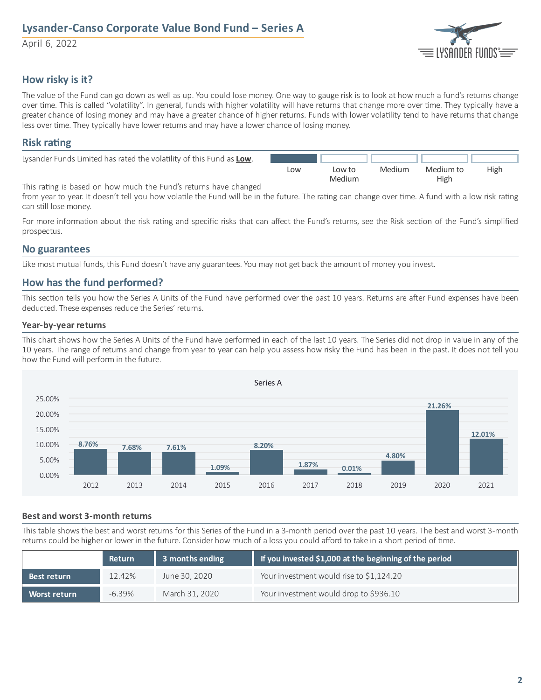# **Lysander-Canso Corporate Value Bond Fund ‒ Series A**

April 6, 2022



## **How risky is it?**

The value of the Fund can go down as well as up. You could lose money. One way to gauge risk is to look at how much a fund's returns change over time. This is called "volatility". In general, funds with higher volatility will have returns that change more over time. They typically have a greater chance of losing money and may have a greater chance of higher returns. Funds with lower volatility tend to have returns that change less over time. They typically have lower returns and may have a lower chance of losing money.

### **Risk** rating

| Lysander Funds Limited has rated the volatility of this Fund as Low. |     |        |        |           |             |
|----------------------------------------------------------------------|-----|--------|--------|-----------|-------------|
|                                                                      | Low | Low to | Medium | Medium to | <b>High</b> |
|                                                                      |     | Medium |        | High      |             |

This rating is based on how much the Fund's returns have changed

from year to year. It doesn't tell you how volatile the Fund will be in the future. The rating can change over time. A fund with a low risk rating can still lose money.

For more information about the risk rating and specific risks that can affect the Fund's returns, see the Risk section of the Fund's simplified prospectus.

### **No guarantees**

Like most mutual funds, this Fund doesn't have any guarantees. You may not get back the amount of money you invest.

## **How has the fund performed?**

This section tells you how the Series A Units of the Fund have performed over the past 10 years. Returns are after Fund expenses have been deducted. These expenses reduce the Series' returns.

#### **Year-by-year returns**

This chart shows how the Series A Units of the Fund have performed in each of the last 10 years. The Series did not drop in value in any of the 10 years. The range of returns and change from year to year can help you assess how risky the Fund has been in the past. It does not tell you how the Fund will perform in the future.



#### **Best and worst 3-month returns**

This table shows the best and worst returns for this Series of the Fund in a 3-month period over the past 10 years. The best and worst 3-month returns could be higher or lower in the future. Consider how much of a loss you could afford to take in a short period of time.

|                     | <b>Return</b> | 3 months ending | If you invested \$1,000 at the beginning of the period |
|---------------------|---------------|-----------------|--------------------------------------------------------|
| Best return         | $12.42\%$     | June 30, 2020   | Your investment would rise to \$1,124.20               |
| <b>Worst return</b> | $-6.39\%$     | March 31, 2020  | Your investment would drop to \$936.10                 |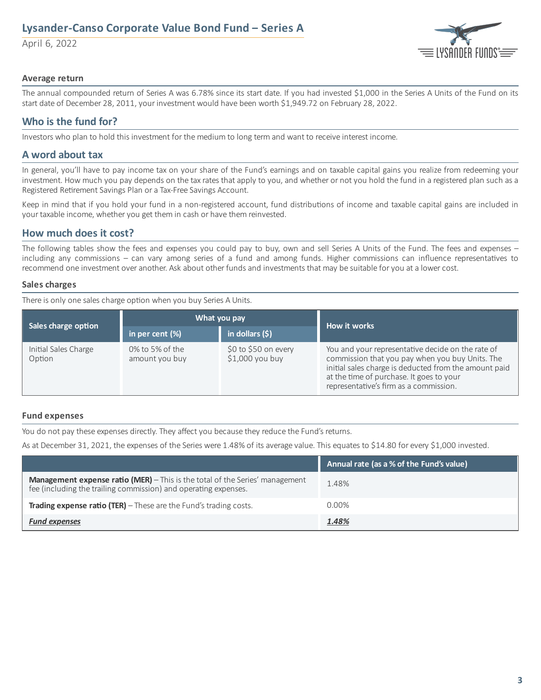# **Lysander-Canso Corporate Value Bond Fund ‒ Series A**

April 6, 2022



#### **Average return**

The annual compounded return of Series A was 6.78% since its start date. If you had invested \$1,000 in the Series A Units of the Fund on its start date of December 28, 2011, your investment would have been worth \$1,949.72 on February 28, 2022.

## **Who is the fund for?**

Investors who plan to hold this investment for the medium to long term and want to receive interest income.

## **A word about tax**

In general, you'll have to pay income tax on your share of the Fund's earnings and on taxable capital gains you realize from redeeming your investment. How much you pay depends on the tax rates that apply to you, and whether or not you hold the fund in a registered plan such as a Registered Retirement Savings Plan or a Tax-Free Savings Account.

Keep in mind that if you hold your fund in a non-registered account, fund distributions of income and taxable capital gains are included in your taxable income, whether you get them in cash or have them reinvested.

## **How much does it cost?**

The following tables show the fees and expenses you could pay to buy, own and sell Series A Units of the Fund. The fees and expenses – including any commissions – can vary among series of a fund and among funds. Higher commissions can influence representatives to recommend one investment over another. Ask about other funds and investments that may be suitable for you at a lower cost.

#### **Sales charges**

There is only one sales charge option when you buy Series A Units.

|                                | What you pay                      |                                          | How it works                                                                                                                                                                                                                                        |  |
|--------------------------------|-----------------------------------|------------------------------------------|-----------------------------------------------------------------------------------------------------------------------------------------------------------------------------------------------------------------------------------------------------|--|
| Sales charge option            | in per cent $(\%)$                | in dollars $(5)$                         |                                                                                                                                                                                                                                                     |  |
| Initial Sales Charge<br>Option | 0% to 5% of the<br>amount you buy | \$0 to \$50 on every<br>$$1,000$ you buy | You and your representative decide on the rate of<br>commission that you pay when you buy Units. The<br>initial sales charge is deducted from the amount paid<br>at the time of purchase. It goes to your<br>representative's firm as a commission. |  |

#### **Fund expenses**

You do not pay these expenses directly. They affect you because they reduce the Fund's returns.

As at December 31, 2021, the expenses of the Series were 1.48% of its average value. This equates to \$14.80 for every \$1,000 invested.

|                                                                                                                                                        | Annual rate (as a % of the Fund's value) |
|--------------------------------------------------------------------------------------------------------------------------------------------------------|------------------------------------------|
| <b>Management expense ratio (MER)</b> - This is the total of the Series' management<br>fee (including the trailing commission) and operating expenses. | 1.48%                                    |
| <b>Trading expense ratio (TER)</b> $-$ These are the Fund's trading costs.                                                                             | $0.00\%$                                 |
| <b>Fund expenses</b>                                                                                                                                   | 1.48%                                    |